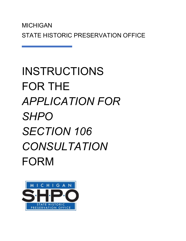# INSTRUCTIONS FOR THE *APPLICATION FOR SHPO SECTION 106 CONSULTATION* FORM

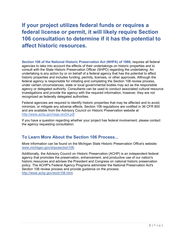# **If your project utilizes federal funds or requires a federal license or permit, it will likely require Section 106 consultation to determine if it has the potential to affect historic resources.**

**Section 106 of the National Historic Preservation Act (NHPA) of 1966,** requires all federal agencies to take into account the effects of their undertakings on historic properties and to consult with the State Historic Preservation Officer (SHPO) regarding the undertaking. An undertaking is any action by or on behalf of a federal agency that has the potential to affect historic properties and includes funding, permits, licenses, or other approvals. Although the federal agency is responsible for initiating and completing the Section 106 review process, under certain circumstances, state or local governmental bodies may act as the responsible agency or delegated authority. Consultants can be used to conduct associated cultural resource investigations and provide the agency with the required information; however, they are not recognized as federally delegated authorities.

Federal agencies are required to identify historic properties that may be affected and to avoid, minimize, or mitigate any adverse effects. Section 106 regulations are codified in 36 CFR 800 and are available from the Advisory Council on Historic Preservation website at [http://www.achp.gov/regs-rev04.pdf.](http://www.achp.gov/regs-rev04.pdf)

If you have a question regarding whether your project has federal involvement, please contact the agency requesting consultation.

## **To Learn More About the Section 106 Process...**

More information can be found on the Michigan State Historic Preservation Office's website: [www.michigan.gov/shposection106.](http://www.michigan.gov/shposection106)

Additionally, the Advisory Council on Historic Preservation (ACHP) is an independent federal agency that promotes the preservation, enhancement, and productive use of our nation's historic resources and advises the President and Congress on national historic preservation policy. The ACHP's Federal Agency Programs administer the National Preservation Act's Section 106 review process and provide guidance on the process: [http://www.achp.gov/work106.html.](http://www.achp.gov/work106.html)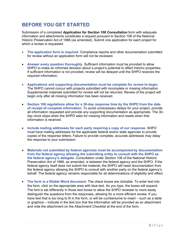# **BEFORE YOU GET STARTED**

Submission of a completed *Application for Section 106 Consultation* form with adequate information and attachments constitutes a request pursuant to Section 106 of the National Historic Preservation Act of 1966 (as amended). Submit one application for each project for which a review is requested.

- **The application form is required**. Compliance reports and other documentation submitted for review without an application form will not be reviewed.
- **Answer every question thoroughly**. Sufficient information must be provided to allow SHPO to make an informed decision about a project's potential to affect historic properties. If sufficient information is not provided, review will be delayed until the SHPO receives the required information.
- **Applications and supporting documentation must be complete for review to begin**. The SHPO cannot concur with projects submitted with incomplete or missing information. Supplemental materials submitted for review will not be returned. Review of the project will begin only after all missing information has been received.
- **Section 106 regulations allow for a 30-day response time by the SHPO from the date of receipt of complete information.** To avoid unnecessary delays for your project, provide all information requested and provide any supporting documentation as appropriate. The 30 day clock stops when the SHPO asks for missing information and resets when that information is received.
- **Include mailing addresses for each party requiring a copy of our response.** SHPO must have mailing addresses for the applicable federal and/or state agencies to provide copies of the response letters. Failure to provide complete, accurate addresses may delay the response to your submission.
- **Materials not submitted by federal agencies must be accompanied by documentation from the federal agency allowing the submitting entity to consult with the SHPO as the federal agency's delegate.** Consultation under Section 106 of the National Historic Preservation Act of 1966, as amended, is between the federal agency and the SHPO. If the federal agency itself does not submit the material, the SHPO will need documentation from the federal agency allowing the SHPO to consult with another party on the federal agency's behalf. The federal agency remains responsible for all determinations of eligibility and effect.
- **The form is a fillable Word document.** The check boxes are clickable. To enter text into the form, click on the appropriate area with blue text. As you type, the boxes will expand. The font is set differently in those text boxes to allow the SHPO reviewer to more easily distinguish the questions from the responses, allowing for a more efficient review. If you have text that is too long to fit in the form, or will be cumbersome to insert – such as a table or graphics – indicate in the text box that the information will be provided as an attachment and note the attachment on the Attachment Checklist at the end of the form.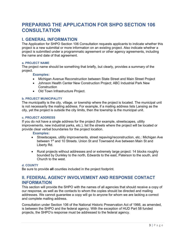## **PREPARING THE APPLICATION FOR SHPO SECTION 106 CONSULTATION**

## **I. GENERAL INFORMATION**

The Application for SHPO Section 106 Consultation requests applicants to indicate whether this project is a new submittal or more information on an existing project. Also indicate whether a project is submitted under a programmatic agreement or other agency agreements, including the name and date of that agreement.

#### **a. PROJECT NAME**

The project name should be something that briefly, but clearly, provides a summary of the project.

#### **Examples:**

- Michigan Avenue Reconstruction between State Street and Main Street Project
- Johnson Health Center New Construction Project; ABC Industrial Park New **Construction**
- Old Town Infrastructure Project.

#### **b. PROJECT MUNICIPALITY**

The municipality is the city, village, or township where the project is located. The municipal unit is not necessarily the mailing address. For example, if a mailing address lists Lansing as the city, yet the project is outside the city limits, then the township is the municipal unit.

#### **c. PROJECT ADDRESS**

If you do not have a single address for the project (for example, streetscapes, utility improvements, new industrial parks, etc.), list the streets where the project will be located or provide clear verbal boundaries for the project location.

#### **Examples:**

- Streetscapes, utility improvements, street repaving/reconstruction, etc.: Michigan Ave between 1<sup>st</sup> and 10 Streets. Union St and Townsend Ave between Main St and Liberty Rd.
- Rural projects without addresses and or extremely large project: 14 blocks roughly bounded by Dunkley to the north, Edwards to the east, Paterson to the south, and Church to the west.

#### **d. COUNTY**

Be sure to provide **all** counties included in the project footprint.

### **II. FEDERAL AGENCY INVOLVEMENT AND RESPONSE CONTACT INFORMATION**

This section will provide the SHPO with the names of all agencies that should receive a copy of our response, as well as the contacts to whom the copies should be directed and mailing addresses. We cannot guarantee a copy will go to anyone for whom we are lacking a correct and complete mailing address.

Consultation under Section 106 of the National Historic Preservation Act of 1966, as amended, is between the SHPO and the federal agency. With the exception of HUD Part 58 funded projects, the SHPO's response must be addressed to the federal agency.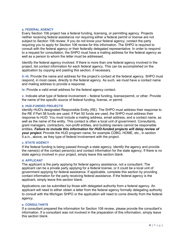#### **a. FEDERAL AGENCY**

Every Section 106 project has a federal funding, licensing, or permitting agency. Projects neither receiving federal assistance nor requiring either a federal permit or license are not subject to Section 106 review. If you do not know your federal agency, contact the party requiring you to apply for Section 106 review for this information. The SHPO is required to consult with the federal agency or their federally delegated representative. In order to respond to a request for consultation, the SHPO must have a mailing address for the federal agency as well as a person to whom the letter must be addressed.

Identify the federal agency involved. If there is more than one federal agency involved in the project, list contact information for each federal agency. This can be accomplished on the application by copying and pasting this section, if necessary.

**ii.-iii.** Provide the name and address for the project's contact at the federal agency. SHPO must respond, in most cases, directly to the federal agency. As such, we must have a contact name and mailing address to provide a response.

**iv.** Provide a valid email address for the federal agency contact.

**v.** Indicate what type of federal involvement – federal funding, license/permit, or other. Provide the name of the specific source of federal funding, license, or permit.

#### **b. HUD-FUNDED PROJECTS**

Identify HUD's designated Responsible Entity (RE). The SHPO must address their response to the RE if Part 58 funds are used. If Part 50 funds are used, the SHPO must address their response to HUD. You must include a mailing address, email address, and a contact name, as well as the name of the entity. This contact is often a local unit of government. Consultants, grant managers, contractors, non-profit entities, and building owners cannot be responsible entities. *Failure to include this information for HUD-funded projects will delay review of your project.* Provide the HUD program name, for example CDBG, HOME, etc., in section II.a.iv., above, as they type of federal involvement with the project.

#### **c. STATE AGENCY**

If the federal funding is being passed through a state agency, identify the agency and provide the name(s) of the contact person(s) and contact information for the state agency. If there is no state agency involved in your project, simply leave this section blank.

#### **d. APPLICANT**

The applicant is the party applying for federal agency assistance, not a consultant. The applicant can be a private party applying for a federal license, or it could be a local unit of government applying for federal assistance. If applicable, complete this section by providing contact information for the party receiving federal assistance. If the federal agency is the applicant, simply leave this section blank.

Applications can be submitted by those with delegated authority from a federal agency. An applicant will need to either obtain a letter from the federal agency formally delegating authority to consult with the Michigan SHPO or the application will need to come directly from the federal agency.

#### **e. CONSULTANTS**

If a consultant prepared the information for Section 106 review, please provide the consultant's information. If a consultant was not involved in the preparation of this information, simply leave this section blank.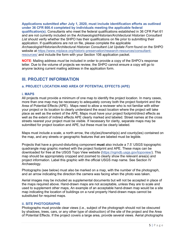#### **Applications submitted after July 1, 2020, must include identification efforts as outlined under 36 CFR 800.4 completed by individuals meeting the applicable federal**

**qualification(s).** Consultants who meet the federal qualifications established in 36 CFR Part 61 and are not currently included on the *Archaeologist/Historian/Architectural Historian Consultant List* should verify whether the SHPO has their qualifications on file prior to submitting their application. If qualifications are not on file, please complete the applicable Archaeologist/Historian/Architectural Historian Consultant List Update Form found on the SHPO website at [https://www.miplace.org/historic-preservation/research-resources/consultant](https://www.miplace.org/historic-preservation/research-resources/consultant-resources/)[resources/](https://www.miplace.org/historic-preservation/research-resources/consultant-resources/) and include the form with your Section 106 application packet.

**NOTE**: Mailing address *must* be included in order to provide a copy of the SHPO's response letter. Due to the volume of projects we review, the SHPO cannot ensure a copy will go to anyone lacking current mailing address in the application form.

## **III. PROJECT INFORMATION**

#### **a. PROJECT LOCATION AND AREA OF POTENTIAL EFFECTS (APE)**

#### **i. MAPS**

All projects must provide a minimum of one map to identify the project location. In many cases, more than one map may be necessary to adequately convey both the project footprint and the Area of Potential Effects (APE). Maps need to allow a reviewer who is not familiar with either your project or its location to clearly understand the exact location where the project will take place as well as the extent of the APE. Maps must have your project footprint/direct effects as well as the extent of indirect effects APE clearly marked and labeled. Street names at the cross streets nearest your project must be visible. If necessary for clarity, separate maps may be submitted for project location and APE, but these must be clearly labeled.

Maps must include a scale, a north arrow, the city(ies)/township(s) and county(ies) contained on the map, and any streets or geographic features that are labeled must be legible.

Projects that have a ground-disturbing component **must** also include a 7.5' USGS topographic quadrangle map graphic marked with the project footprint and APE. These maps can be downloaded for free at the USGS Topo View website [\(https://ngmdb.usgs.gov/topoview/\)](https://ngmdb.usgs.gov/topoview/). This map should be appropriately cropped and zoomed to clearly show the relevant area(s) and project information. Label this graphic with the official USGS map name. See Section IV Archaeology.

Photographs (see below) must also be marked on a map, with the number of the photograph, and an arrow indicating the direction the camera was facing when the photo was taken.

Aerial images may be included as supplemental documents but will not be accepted in place of the maps required above. Hand-drawn maps are not acceptable, unless they are to scale and used to supplement other maps, An example of an acceptable hand-drawn map would be a site map indicating the location of buildings on a rural property Hand-drawn maps cannot be substituted for required maps.

#### **ii. SITE PHOTOGRAPHS**

Photographs must provide clear views (i.e., subject of the photograph should not be obscured by shadows, trees, cars, or any other type of obstruction) of the site of the project and the Area of Potential Effects. If the project covers a large area, provide several views. Aerial photographs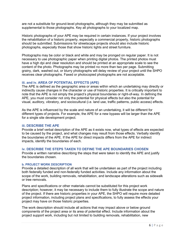are not a substitute for ground-level photographs, although they may be submitted as supplemental to those photographs. Key all photographs to your localized map.

Historic photographs of your APE may be required in certain instances. If your project involves the rehabilitation of a historic property, especially a commercial property, historic photographs should be submitted. Submissions for streetscape projects should also include historic photographs, especially those that show historic lights and street furniture.

Photographs may be color or black and white and may be pronged on regular paper. It is not necessary to use photographic paper when printing digital photos. The printed photos must have a high dpi and clear resolution and should be printed at an appropriate scale to see the content of the photo. Photographs may be printed no more than two per page. Submitting grainy, dark, washed out, or blurry photographs will delay review of your project until the SHPO receives clear photographs. Faxed or photocopied photographs are not acceptable.

#### **iii. and iv. AREA OF POTENTIAL EFFECTS (APE)**

The APE is defined as the geographic area or areas within which an undertaking may directly or indirectly cause changes in the character or use of historic properties. It is critically important to note that the APE is not simply the project's physical boundaries or right-of-way. In defining the APE, you must consider not only the potential for physical effects but also the potential for visual, auditory, vibratory, and sociocultural (i.e. land use, traffic patterns, public access) effects.

As the APE is influenced by the scale and nature of an undertaking, it will be different for different types of projects. For example, the APE for a new bypass will be larger than the APE for a single site development project.

#### **iii. DESCRIBE THE APE**

Provide a brief verbal description of the APE as it exists now, what types of effects are expected to be caused by the project, and what changes may result from those effects. Verbally identify the boundaries of the APE. If the APE for direct impacts differs from the APE for indirect impacts, identify the boundaries of each.

#### **iv. DESCRIBE THE STEPS TAKEN TO DEFINE THE APE BOUNDARIES CHOSEN**

Provide a written narrative describing the steps that were taken to identify the APE and justify the boundaries chosen.

#### **b. PROJECT WORK DESCRIPTION**

Provide a detailed description of all work that will be undertaken as part of the project including both federally funded and non-federally funded activities. Include any information about the scope of the work, building removals, rehabilitation, and landscape alterations such as sidewalk or tree removals.

Plans and specifications or other materials cannot be substituted for this project work description; however, it may be necessary to include them to fully illustrate the scope and nature of the project. If there are historic properties in your APE, the SHPO will require more detailed project information, including project plans and specifications, to fully assess the effects your project may have on those historic properties.

The work description should include all actions that may impact above or below ground components of the project area or its area of potential effect. Include information about the project support work, including but not limited to building removals, rehabilitation, new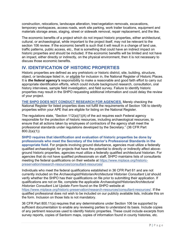construction, relocations, landscape alteration, tree/vegetation removals, excavations, temporary workspaces, access roads, work site parking, work trailer locations, equipment and materials storage areas, staging, street or sidewalk removal, repair replacement, and the like.

The economic benefits of a project which do not impact historic properties, either architectural, cultural, or archaeological, while important to the project itself, may not be relevant to the section 106 review. If the economic benefit is such that it will result in a change of land use, traffic patterns, public access, etc., that is something that could have an indirect impact on historic properties and should be included. If the economic benefits will be limited and not have an impact, either directly or indirectly, on the physical environment, then it is not necessary to discuss those economic benefits.

## **IV. IDENTIFICATION OF HISTORIC PROPERTIES**

Historic properties are defined as any prehistoric or historic district, site, building, structure, object, or landscape listed in, or *eligible* for inclusion in, the National Register of Historic Places. It is *the federal agency's* responsibility to make a reasonable and good faith effort to carry out appropriate identification efforts, which could include background research, consultation, oral history interviews, sample field investigation, and field survey. Failure to identify historic properties may result in the SHPO requesting additional information and could delay the review of your project.

**THE SHPO DOES NOT CONDUCT RESEARCH FOR AGENCIES***.* Merely checking the National Register for listed properties does not fulfill the requirements of Section 106 to identify properties within your APE that are eligible for listing on the National Register.

The regulations state, "Section  $112(a)(1)(A)$  of the act requires each Federal agency responsible for the protection of historic resources, including archaeological resources, to ensure that all actions taken by employees of contractors of the agency shall meet the professional standards under regulations developed by the Secretary." (36 CFR Part 800.2(a)(1))

**SHPO requires that identification and evaluation of historic properties be done by professionals who meet the Secretary of the Interior's Professional Standards in the appropriate field.** For projects involving ground disturbance, agencies must utilize a federally qualified archaeologist; for projects that have the potential to directly or indirectly affect aboveground historic properties, agencies must utilize a federally qualified architectural historian. For agencies that do not have qualified professionals on staff, SHPO maintains lists of consultants meeting the federal qualifications on their website at [https://www.miplace.org/historic](https://www.miplace.org/historic-preservation/research-resources/consultant-resources/)[preservation/research-resources/consultant-resources/](https://www.miplace.org/historic-preservation/research-resources/consultant-resources/)

Individuals who meet the federal qualifications established in 36 CFR Part 61 and are not currently included on the *Archaeologist/Historian/Architectural Historian Consultant List* should verify whether the SHPO has their qualifications on file prior to submitting their application. If qualifications are not on file, complete the applicable *Archaeologist/Historian/Architectural Historian Consultant List Update Form* found on the SHPO website at [https://www.miplace.org/historic-preservation/research-resources/consultant-resources/.](https://www.miplace.org/historic-preservation/research-resources/consultant-resources/) If the qualified professional does not wish to be included on our publicly available lists, indicate this on the form. Inclusion on those lists is not mandatory.

36 CFR Part 800.11(a) requires that any determinations under Section 106 be supported by sufficient documentation to enable any reviewing parties to understand its basis. Include copies of any pertinent resources used to identify historic properties. These could include excerpts from survey reports, copies of Sanborn maps, copies of information found in county histories, etc.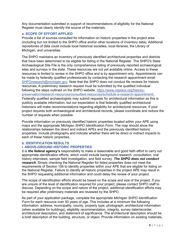Any documentation submitted in support of recommendations of eligibility for the National Register must clearly identify the source of the materials.

#### **a. SCOPE OF EFFORT APPLIED**

Provide a list of sources consulted for information on historic properties in the project area (including but not limited to the SHPO office and/or other locations of inventory data). Additional repositories of data could include local historical societies, local libraries, the Library of Michigan, and universities.

The SHPO maintains an inventory of previously identified architectural properties and districts that have been determined to be eligible for listing in the National Register. The SHPO's State Archaeological Site File is the only comprehensive listing of previously reported archaeological sites and surveys in the state. These resources are not yet available online. Access to these resources is limited to review in the SHPO office and is by appointment only. Appointments can be made by federally qualified professionals by contacting the research appointment email [SHPOresearch@michigan.gov.](mailto:SHPOresearch@michigan.gov) Note that the SHPO does not conduct file reviews for historic resources. A preliminary research request must be submitted by the qualified individual following the steps outlined on the SHPO website, [https://www.miplace.org/historic](https://www.miplace.org/historic-preservation/research-resources/consultant-resources/schedule-a-research-appointment/)[preservation/research-resources/consultant-resources/schedule-a-research-appointment/.](https://www.miplace.org/historic-preservation/research-resources/consultant-resources/schedule-a-research-appointment/) Federally qualified archaeologists may submit requests for architectural information as this is publicly available information, but our expectation is that federally qualified architectural historians will make recommendations regarding eligibility for architectural resources. If your project requires both archaeological and architectural records, please coordinate and reduce the number of requests when possible.

Provide information on previously identified historic properties located within your APE using maps and the appropriate *Michigan SHPO Identification Form*. The map should show the relationships between the direct and indirect APEs and the previously identified historic properties. Include photographs and indicate whether there will be direct or indirect impacts to each of these historic properties.

#### **b. IDENTIFICATION RESULTS i. ABOVE-GROUND HISTORIC PROPERTIES**

It is *the federal agency's* responsibility to make a reasonable and good faith effort to carry out appropriate identification efforts, which could include background research, consultation, oral history interviews, sample field investigation, and field survey. *The SHPO does not conduct research.* Simply checking the National Register for listed properties does not meet the requirements of Section 106 to identify properties within your APE that are eligible for listing on the National Register. Failure to identify all historic properties in the project APE may result in the SHPO requesting additional information and could delay the review of your project.

The scope of identification efforts should be based on the scope and size of the project. If you are unsure of the level of identification required for your project, please contact SHPO staff to discuss. Depending on the scope and nature of the project, additional identification efforts may be required after preliminary materials are reviewed by the SHPO.

As part of your application package, complete the appropriate *Michigan SHPO Identification Form* for each resource over 50 years of age. This includes at a minimum the following information: address, municipality, county, property type, photograph, architectural information (when available for buildings), eligibility recommendation, integrity, survey date/recorder, architectural description, and statement of significance. The architectural description should be a brief description of the building, structure, or object. Provide information on existing materials,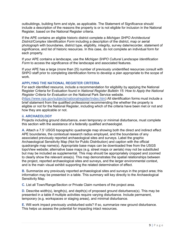outbuildings, building form and style, as applicable. The Statement of Significance should include a description of the reasons the property is or is not eligible for inclusion in the National Register, based on the National Register criteria.

If the APE contains an eligible historic district complete a *Michigan SHPO Architectural District/Complex Identification Form* including a description of the district, map or aerial photograph with boundaries, district type, eligibility, integrity, survey date/recorder, statement of significance, and list of historic resources. In this case, do not complete an individual form for each property.

If your APE contains a landscape, use the *Michigan SHPO Cultural Landscape Identification Form* to access the significance of the landscape and associated features.

If your APE has a large (more than 25) number of previously unidentified resources consult with SHPO staff prior to completing identification forms to develop a plan appropriate to the scope of work.

#### **APPLYING THE NATIONAL REGISTER CRITERIA**

For each identified resource, include a recommendation for eligibility by applying the National Register Criteria for Evaluation found in *National Register Bulletin 15: How to Apply the National Register Criteria for Evaluation* on the National Park Service website.

[\(https://www.nps.gov/subjects/nationalregister/index.htm\)](https://www.nps.gov/subjects/nationalregister/index.htm) All identification forms must include a brief statement from the qualified professional recommending the whether the property is eligible or not for the National Register, including which of the criteria have been met or not and how they are applicable or not.

#### **ii. ARCHAEOLOGY**

Projects including ground disturbance, even temporary or minimal disturbance, must complete this section with the assistance of a federally qualified archaeologist.

**A.** Attach a 7.5' USGS topographic quadrangle map showing both the direct and indirect effect APE boundaries, the contextual research radius employed, and the boundaries of any associated previously reported archaeological sites and surveys. Label the graphic Archaeological Sensitivity Map (Not for Public Distribution) and caption with the official quadrangle map name(s). Appropriate base maps can be downloaded free from the USGS topoView website; alternative base maps (e.g. street maps or aerials) may not be substituted but may be included as supplemental. This map should be appropriately cropped and zoomed to clearly show the relevant area(s). This map demonstrates the spatial relationships between the project, reported archaeological sites and surveys, and the larger environmental context, and is the main visual exhibit supporting the related determination of effect.

**B.** Summarize any previously reported archaeological sites and surveys in the project area; this information may be presented in a table. This summary will key directly to the Archaeological Sensitivity Map.

**C.** List all Town/Range/Section or Private Claim numbers of the project area.

**D.** Describe width(s), length(s), and depth(s) of proposed ground disturbance(s). This may be presented in a table if multiple activities require varying disturbance. Include permanent, temporary (e.g. workspaces or staging areas), and minimal disturbance.

**E.** Will work impact previously undisturbed soils? If so, summarize new ground disturbance. This helps us assess the potential for impacting intact resources.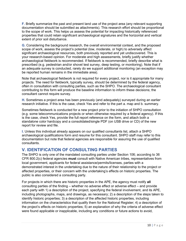**F.** Briefly summarize the past and present land use of the project area (any relevant supporting documentation should be submitted as attachments). This research effort should be proportional to the scope of work. This helps us assess the potential for impacting historically referenced properties that could retain significant archaeological signatures and the horizontal and vertical extent of prior soil disturbance.

**G.** Considering the background research, the overall environmental context, and the proposed scope of work, assess the project's potential (low, moderate, or high) to adversely affect significant archaeological resources, both previously reported and yet undiscovered. This is your research-based opinion. For moderate and high assessments, briefly justify whether archaeological fieldwork is recommended. If fieldwork is recommended, briefly describe what is prescribed (e.g. pedestrian and/or shovel test survey, deep testing, or monitoring). Note that if an adequate survey is conducted, rarely do we support additional monitoring (an exception may be reported human remains in the immediate area).

Note that archaeological fieldwork is not required for every project, nor is it appropriate for many projects. The need for fieldwork, typically survey, should be determined by the federal agency, often in consultation with consulting parties, such as the SHPO. The archaeological consultant contributing to this form will produce the baseline information to inform these decisions; the consultant cannot require survey.

**H.** Sometimes a project area has been previously (and adequately) surveyed during an earlier research initiative. If this is the case, check Yes and refer to the part a. map and b. summary.

Sometimes fieldwork is conducted for a new project prior to the initiation of SHPO consultation (e.g. some telecommunications projects or when otherwise required by a federal agency). If this is the case, check Yes, provide the full report reference on the form, and attach both a standalone color hardcopy and a consolidated/single PDF (on USB drive or CD) of the new report for review and file.

**I.** Unless this individual already appears on our qualified consultants list, attach a SHPO archaeological qualifications form and resume for this consultant. SHPO staff may refer to this documentation but note that federal agencies are responsible for assuring the use of qualified consultants.

## **V. IDENTIFICATION OF CONSULTING PARTIES**

The SHPO is only one of the mandated consulting parties under Section 106; according to 36 CFR 800.2(c) federal agencies **must** consult with Native American tribes, representatives from local government, applicants for federal assistance/permits/licenses, parties with a demonstrated interest in the undertaking due to the nature of their relationship to the project or affected properties, or their concern with the undertaking's effects on historic properties. The public is also considered a consulting party.

For projects in which there are historic properties in the APE, the agency must notify **all**  consulting parties of the finding – whether no adverse effect or adverse effect – and provide each party with 1) a description of the project, specifying the federal involvement, and its APE, including photographs, maps, and drawings, as necessary; 2) a description of the steps taken to identify historic properties; 3) a description of the affected historic properties, including information on the characteristics that qualify them for the National Register; 4) a description of the project's effects on historic properties; 5) an explanation of why the criteria of adverse effect were found applicable or inapplicable, including any conditions or future actions to avoid,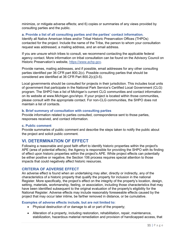minimize, or mitigate adverse effects; and 6) copies or summaries of any views provided by consulting parties and the public.

#### **a. Provide a list of all consulting parties and the parties' contact information.**

Identify all Native American tribes and/or Tribal Historic Preservation Offices (THPOs) contacted for the project. Include the name of the Tribe, the person to whom your consultation request was addressed, a mailing address, and an email address.

If you are unsure which tribes to consult, we recommend contacting the applicable federal agency contact. More information on tribal consultation can be found on the Advisory Council on Historic Preservation's website, [https://www.achp.gov.](https://www.achp.gov/)

Provide names, mailing addresses, and if possible, email addresses for any other consulting parties identified per 36 CFR part 800.2(c). Possible consulting parties that should be considered are identified at 36 CFR Part 800.2(c)(3-5).

Local governments should be consulted for projects in their jurisdiction. This includes local units of government that participate in the National Park Service's Certified Local Government (CLG) program. The SHPO has a list of Michigan's current CLG communities and contact information on its website at www.Michigan.gov/shpo. If your project is located within those communities, please consult with the appropriate contact. For non-CLG communities, the SHPO does not maintain a list of contacts.

#### **b. Brief summary of consultation with consulting parties**

Provide information related to parties consulted, correspondence sent to those parties, responses received, and contact information.

#### **c. Public comment**

Provide summaries of public comment and describe the steps taken to notify the public about the project and solicit public comment.

## **VI. DETERMINATION OF EFFECT**

Following a reasonable and good faith effort to identify historic properties within the project's APE (area of potential effects), the Agency is responsible for providing the SHPO with its finding of effect upon historic properties within the project's APE. While project effects can potentially be either positive or negative, the Section 106 process requires special attention to those impacts that could negatively affect historic resources.

#### **CRITERIA OF ADVERSE EFFECT**

An adverse effect is found when an undertaking may alter, directly or indirectly, any of the characteristics of a historic property that qualify the property for inclusion in the national Register. More specifically, the project's effect on the integrity of the property's location, design, setting, materials, workmanship, feeling, or association, including those characteristics that may have been identified subsequent to the original evaluation of the property's eligibility for the National Register. Adverse effects may include reasonably foreseeable effects caused by the project that may occur later intime, be farther removed in distance, or be cumulative.

#### **Examples of adverse effects include, but are not limited to:**

- Physical destruction of or damage to all or part of the property;
- Alteration of a property, including restoration, rehabilitation, repair, maintenance, stabilization, hazardous material remediation and provision of handicapped access, that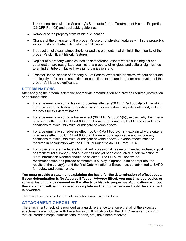**is not** consistent with the Secretary's Standards for the Treatment of Historic Properties (36 CFR Part 68) and applicable guidelines;

- Removal of the property from its historic location;
- Change of the character of the property's use or of physical features within the property's setting that contribute to its historic significance;
- Introduction of visual, atmospheric, or audible elements that diminish the integrity of the property's significant historic features;
- Neglect of a property which causes its deterioration, except where such neglect and deterioration are recognized qualities of a property of religious and cultural significance to an Indian tribe or Native Hawaiian organization; and
- Transfer, lease, or sale of property out of Federal ownership or control without adequate and legally enforceable restrictions or conditions to ensure long-term preservation of the property's historic significance.

#### **DETERMINATIONS**

After applying the criteria, select the appropriate determination and provide required justification or documentation.

- For a determination of no historic properties affected  $(36$  CFR Part  $800.4(d)(1)$  in which there are either no historic properties present, or no historic properties affected, include the basis for this determination.
- For a determination of no adverse effect (36 CFR Part 800.5(b)), explain why the criteria of adverse effect (36 CFR Part  $800.5(a)(1)$ ) were not found applicable and include any conditions to avoid, minimize, or mitigate adverse effects.
- For a determination of adverse effect (36 CFR Part  $800.5(d)(2)$ ), explain why the criteria of adverse effect (36 CFR Part 800.5(a)(1)) were found applicable and include any conditions to avoid, minimize, or mitigate adverse effects. Adverse effects must be resolved in consultation with the SHPO pursuant to 36 CFR Part 800.6.
- For projects where the federally qualified professional has recommended archaeological or architectural survey(s), and survey has not yet been conducted, a determination of More Information Needed should be selected. The SHPO will review the recommendation and provide comments. If survey is agreed to be appropriate, the results of the survey(s) and the final Determination of Effect must be submitted to SHPO for review and concurrence.

**You must provide a statement explaining the basis for the determination of effect above. If your determination is No Adverse Effect or Adverse Effect, you must include copies or summaries of public comment on the affects to historic properties. Applications without this statement will be considered incomplete and cannot be reviewed until the statement is provided.**

The official responsible for the determinations must sign the form.

## **ATTACHMENT CHECKLIST**

The attachment checklist is provided as a quick reference to ensure that all of the expected attachments are included with the submission. It will also allow the SHPO reviewer to confirm that all intended maps, qualifications, reports, etc., have been received.